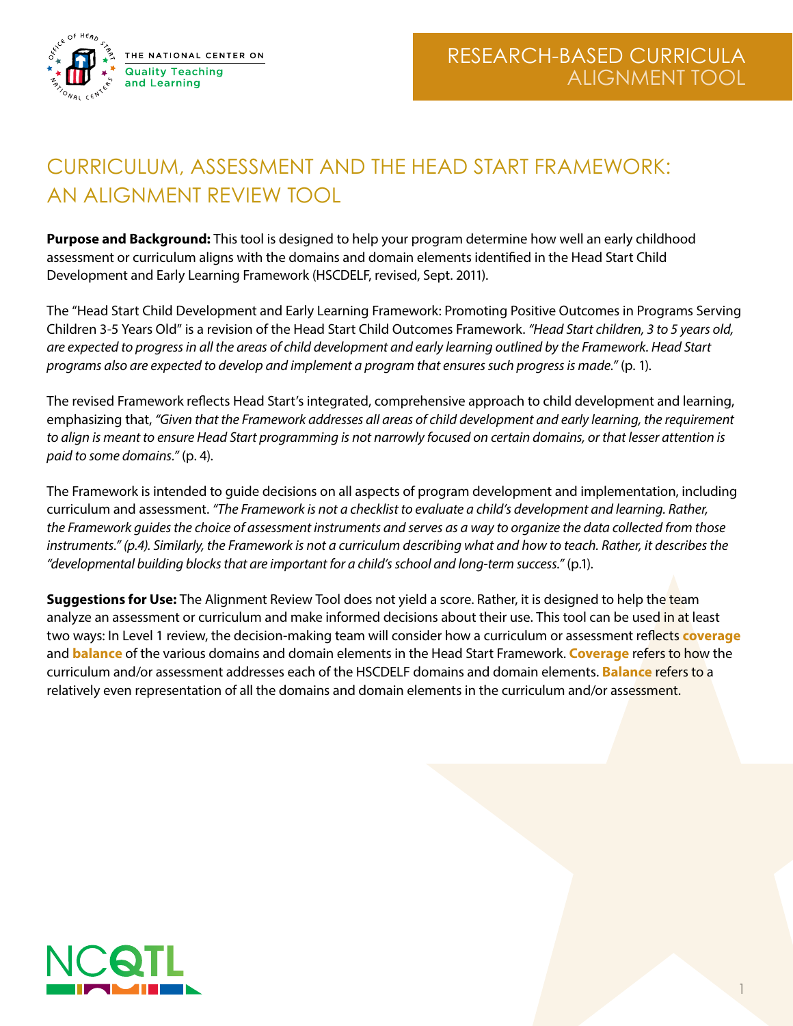

1

# CURRICULUM, ASSESSMENT AND THE HEAD START FRAMEWORK: AN ALIGNMENT REVIEW TOOL

**Purpose and Background:** This tool is designed to help your program determine how well an early childhood assessment or curriculum aligns with the domains and domain elements identified in the Head Start Child Development and Early Learning Framework (HSCDELF, revised, Sept. 2011).

The "Head Start Child Development and Early Learning Framework: Promoting Positive Outcomes in Programs Serving Children 3-5 Years Old" is a revision of the Head Start Child Outcomes Framework. *"Head Start children, 3 to 5 years old, are expected to progress in all the areas of child development and early learning outlined by the Framework. Head Start programs also are expected to develop and implement a program that ensures such progress is made."* (p. 1).

The revised Framework reflects Head Start's integrated, comprehensive approach to child development and learning, emphasizing that, *"Given that the Framework addresses all areas of child development and early learning, the requirement to align is meant to ensure Head Start programming is not narrowly focused on certain domains, or that lesser attention is paid to some domains."* (p. 4).

The Framework is intended to guide decisions on all aspects of program development and implementation, including curriculum and assessment. *"The Framework is not a checklist to evaluate a child's development and learning. Rather, the Framework guides the choice of assessment instruments and serves as a way to organize the data collected from those instruments." (p.4). Similarly, the Framework is not a curriculum describing what and how to teach. Rather, it describes the "developmental building blocks that are important for a child's school and long-term success."* (p.1).

**Suggestions for Use:** The Alignment Review Tool does not yield a score. Rather, it is designed to help the team analyze an assessment or curriculum and make informed decisions about their use. This tool can be used in at least two ways: In Level 1 review, the decision-making team will consider how a curriculum or assessment reflects **coverage** and **balance** of the various domains and domain elements in the Head Start Framework. **Coverage** refers to how the curriculum and/or assessment addresses each of the HSCDELF domains and domain elements. **Balance** refers to a relatively even representation of all the domains and domain elements in the curriculum and/or assessment.

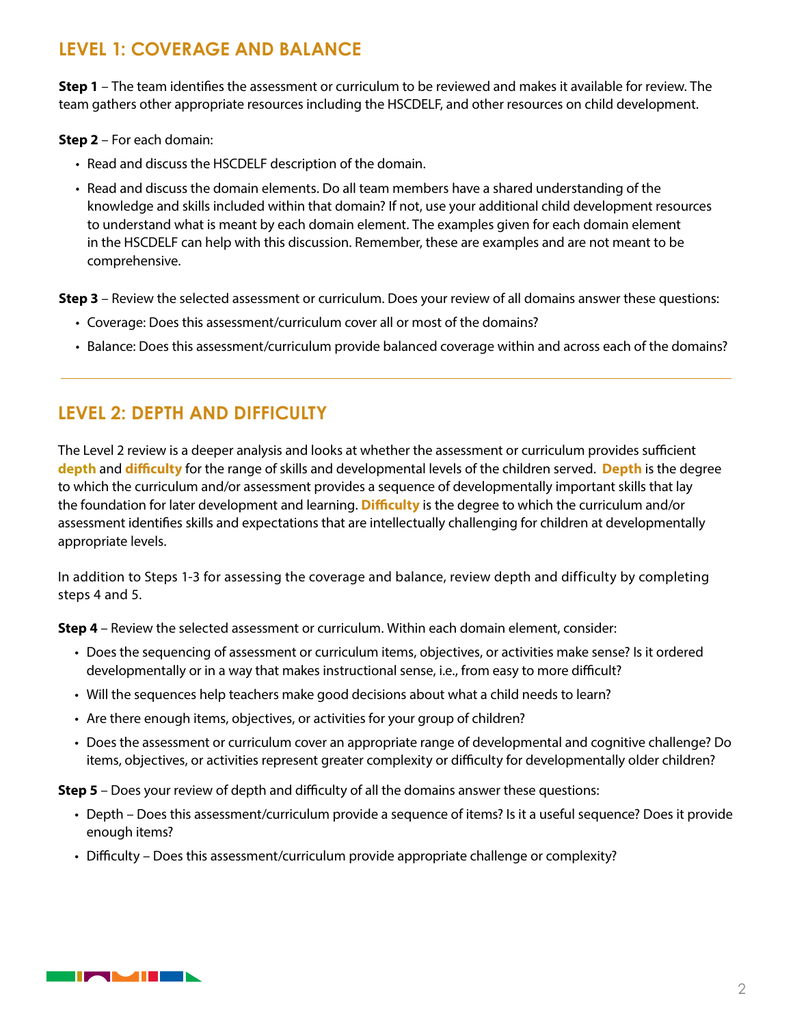## **LEVEL 1: COVERAGE AND BALANCE**

**Step 1** – The team identifies the assessment or curriculum to be reviewed and makes it available for review. The team gathers other appropriate resources including the HSCDELF, and other resources on child development.

**Step 2** – For each domain:

- Read and discuss the HSCDELF description of the domain.
- Read and discuss the domain elements. Do all team members have a shared understanding of the knowledge and skills included within that domain? If not, use your additional child development resources to understand what is meant by each domain element. The examples given for each domain element in the HSCDELF can help with this discussion. Remember, these are examples and are not meant to be comprehensive.

**Step 3** – Review the selected assessment or curriculum. Does your review of all domains answer these questions:

- Coverage: Does this assessment/curriculum cover all or most of the domains?
- Balance: Does this assessment/curriculum provide balanced coverage within and across each of the domains?

### **LEVEL 2: DEPTH AND DIFFICULTY**

The Level 2 review is a deeper analysis and looks at whether the assessment or curriculum provides sufficient **depth** and **difficulty** for the range of skills and developmental levels of the children served. **Depth** is the degree to which the curriculum and/or assessment provides a sequence of developmentally important skills that lay the foundation for later development and learning. **Difficulty** is the degree to which the curriculum and/or assessment identifies skills and expectations that are intellectually challenging for children at developmentally appropriate levels.

In addition to Steps 1-3 for assessing the coverage and balance, review depth and difficulty by completing steps 4 and 5.

**Step 4** – Review the selected assessment or curriculum. Within each domain element, consider:

- Does the sequencing of assessment or curriculum items, objectives, or activities make sense? Is it ordered developmentally or in a way that makes instructional sense, i.e., from easy to more difficult?
- Will the sequences help teachers make good decisions about what a child needs to learn?
- Are there enough items, objectives, or activities for your group of children?
- Does the assessment or curriculum cover an appropriate range of developmental and cognitive challenge? Do items, objectives, or activities represent greater complexity or difficulty for developmentally older children?

**Step 5** – Does your review of depth and difficulty of all the domains answer these questions:

- Depth Does this assessment/curriculum provide a sequence of items? Is it a useful sequence? Does it provide enough items?
- Difficulty Does this assessment/curriculum provide appropriate challenge or complexity?

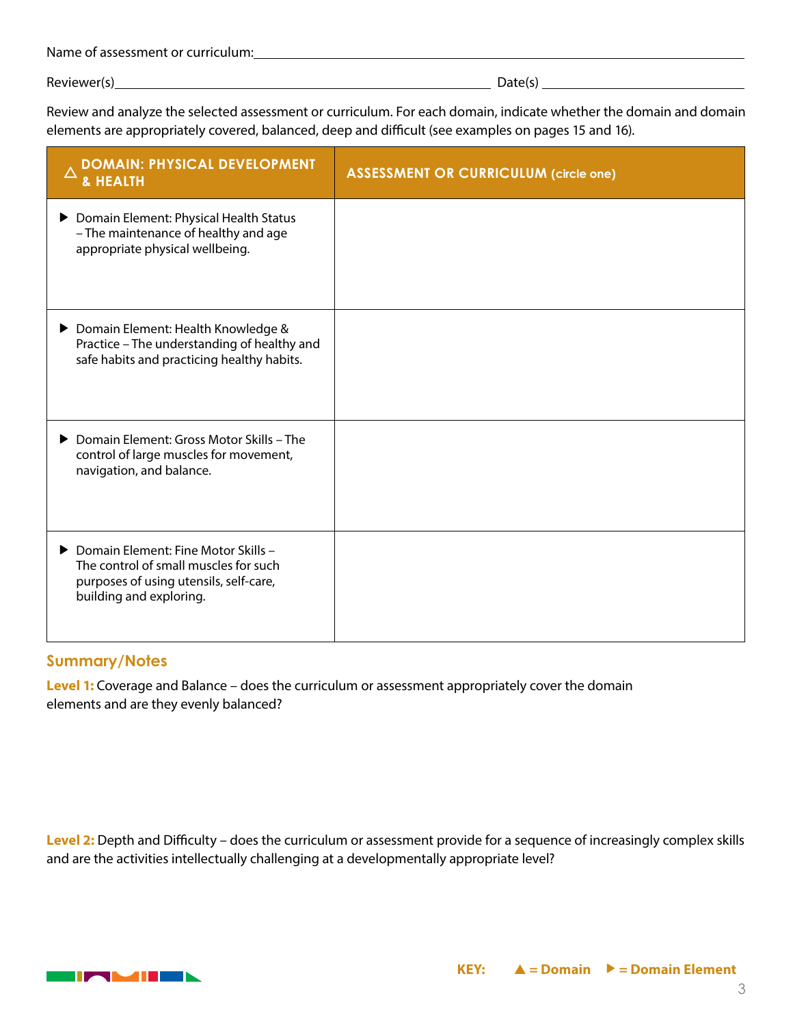| Name of assessment or curriculum: |  |
|-----------------------------------|--|
|                                   |  |

Review and analyze the selected assessment or curriculum. For each domain, indicate whether the domain and domain elements are appropriately covered, balanced, deep and difficult (see examples on pages 15 and 16).

| <b>DOMAIN: PHYSICAL DEVELOPMENT</b><br><b>&amp; HEALTH</b>                                                                                          | <b>ASSESSMENT OR CURRICULUM (circle one)</b> |
|-----------------------------------------------------------------------------------------------------------------------------------------------------|----------------------------------------------|
| ▶ Domain Element: Physical Health Status<br>- The maintenance of healthy and age<br>appropriate physical wellbeing.                                 |                                              |
| ▶ Domain Element: Health Knowledge &<br>Practice - The understanding of healthy and<br>safe habits and practicing healthy habits.                   |                                              |
| ▶ Domain Element: Gross Motor Skills – The<br>control of large muscles for movement,<br>navigation, and balance.                                    |                                              |
| ▶ Domain Element: Fine Motor Skills -<br>The control of small muscles for such<br>purposes of using utensils, self-care,<br>building and exploring. |                                              |

#### **Summary/Notes**

**Level 1:** Coverage and Balance – does the curriculum or assessment appropriately cover the domain elements and are they evenly balanced?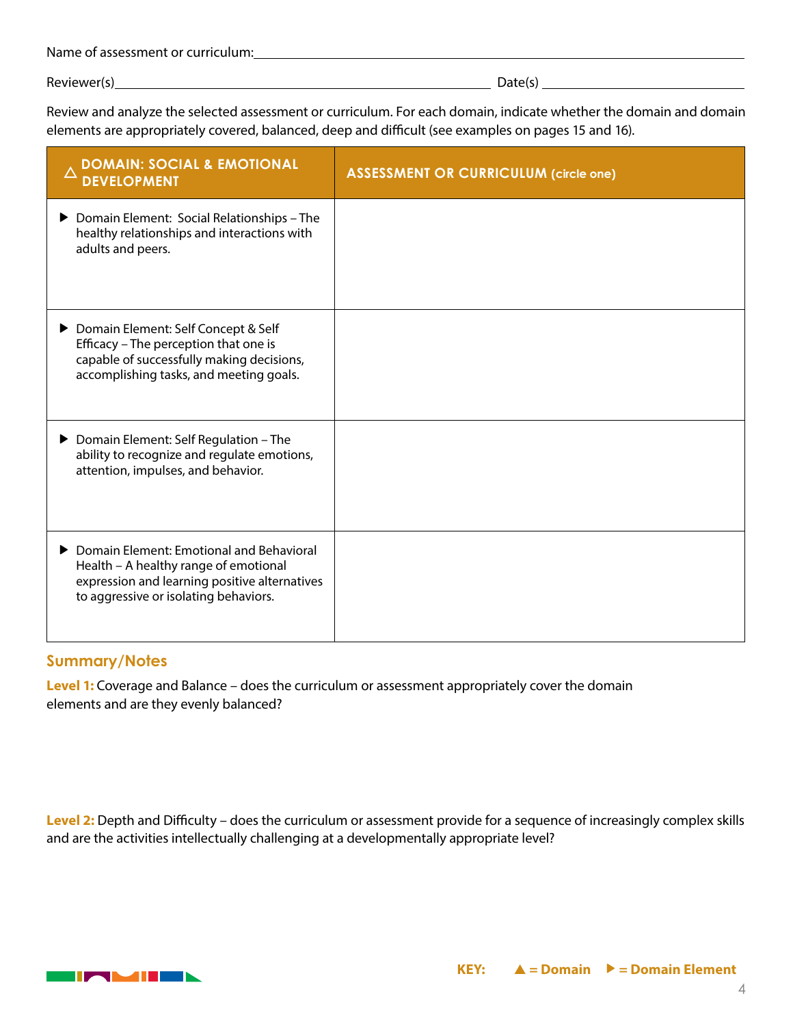| Name of assessment or curriculum: |  |
|-----------------------------------|--|
|                                   |  |

Review and analyze the selected assessment or curriculum. For each domain, indicate whether the domain and domain elements are appropriately covered, balanced, deep and difficult (see examples on pages 15 and 16).

| DOMAIN: SOCIAL & EMOTIONAL<br><b>DEVELOPMENT</b>                                                                                                                            | <b>ASSESSMENT OR CURRICULUM (circle one)</b> |
|-----------------------------------------------------------------------------------------------------------------------------------------------------------------------------|----------------------------------------------|
| Domain Element: Social Relationships - The<br>healthy relationships and interactions with<br>adults and peers.                                                              |                                              |
| ▶ Domain Element: Self Concept & Self<br>Efficacy - The perception that one is<br>capable of successfully making decisions,<br>accomplishing tasks, and meeting goals.      |                                              |
| ▶ Domain Element: Self Regulation - The<br>ability to recognize and regulate emotions,<br>attention, impulses, and behavior.                                                |                                              |
| Domain Element: Emotional and Behavioral<br>Health - A healthy range of emotional<br>expression and learning positive alternatives<br>to aggressive or isolating behaviors. |                                              |

#### **Summary/Notes**

**Level 1:** Coverage and Balance – does the curriculum or assessment appropriately cover the domain elements and are they evenly balanced?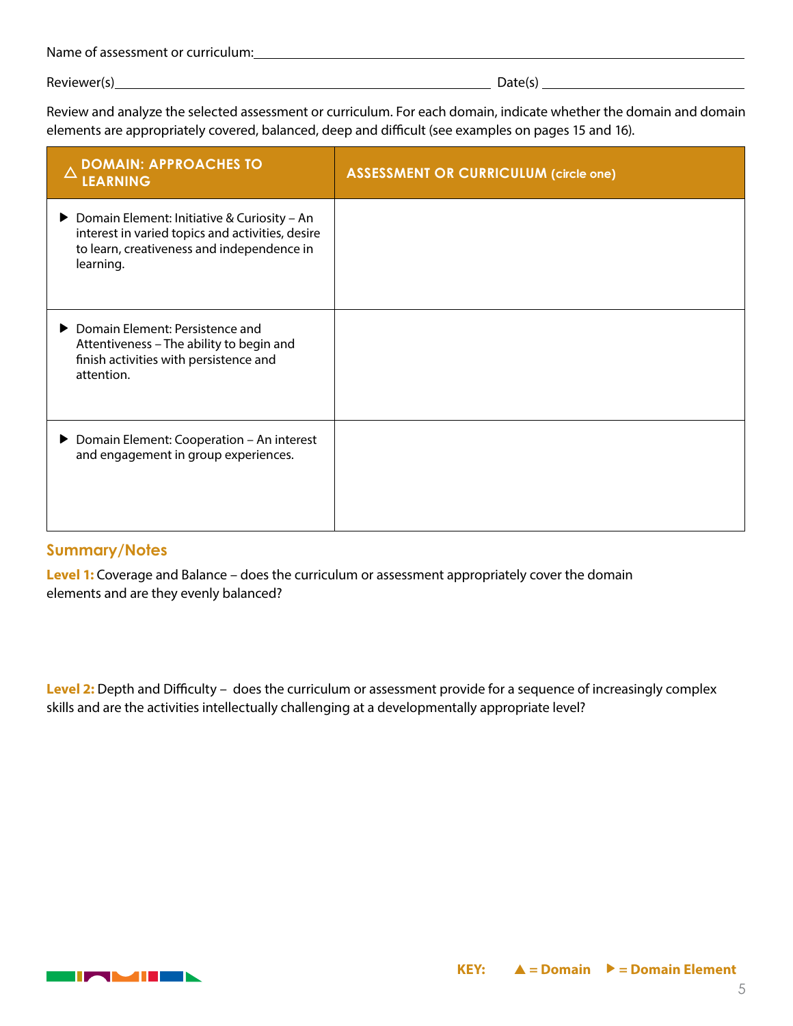| Name of assessment or curriculum: |
|-----------------------------------|
|-----------------------------------|

Review and analyze the selected assessment or curriculum. For each domain, indicate whether the domain and domain elements are appropriately covered, balanced, deep and difficult (see examples on pages 15 and 16).

| <b>DOMAIN: APPROACHES TO</b><br>LEARNING                                                                                                                     | <b>ASSESSMENT OR CURRICULUM (circle one)</b> |
|--------------------------------------------------------------------------------------------------------------------------------------------------------------|----------------------------------------------|
| ▶ Domain Element: Initiative & Curiosity – An<br>interest in varied topics and activities, desire<br>to learn, creativeness and independence in<br>learning. |                                              |
| ▶ Domain Element: Persistence and<br>Attentiveness - The ability to begin and<br>finish activities with persistence and<br>attention.                        |                                              |
| ▶ Domain Element: Cooperation - An interest<br>and engagement in group experiences.                                                                          |                                              |

#### **Summary/Notes**

**Level 1:** Coverage and Balance – does the curriculum or assessment appropriately cover the domain elements and are they evenly balanced?

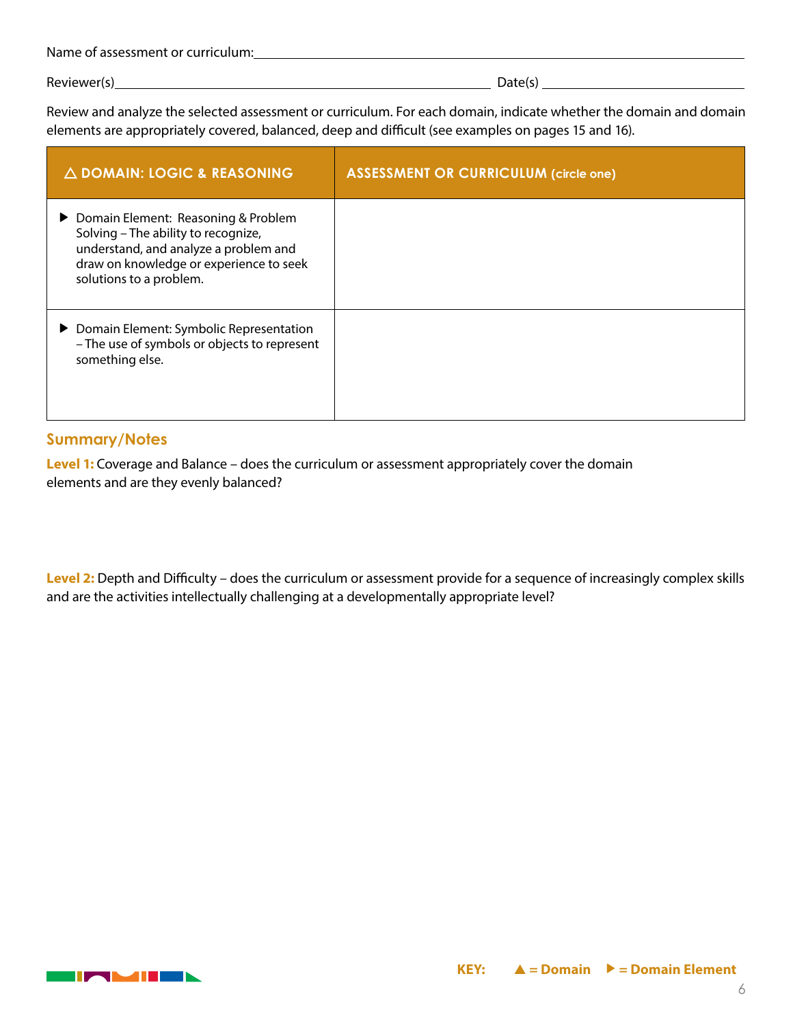| Name of assessment or curriculum: |
|-----------------------------------|
|-----------------------------------|

Review and analyze the selected assessment or curriculum. For each domain, indicate whether the domain and domain elements are appropriately covered, balanced, deep and difficult (see examples on pages 15 and 16).

| $\triangle$ DOMAIN: LOGIC & REASONING                                                                                                                                                       | <b>ASSESSMENT OR CURRICULUM (circle one)</b> |
|---------------------------------------------------------------------------------------------------------------------------------------------------------------------------------------------|----------------------------------------------|
| ▶ Domain Element: Reasoning & Problem<br>Solving - The ability to recognize,<br>understand, and analyze a problem and<br>draw on knowledge or experience to seek<br>solutions to a problem. |                                              |
| ▶ Domain Element: Symbolic Representation<br>- The use of symbols or objects to represent<br>something else.                                                                                |                                              |

#### **Summary/Notes**

**Level 1:** Coverage and Balance – does the curriculum or assessment appropriately cover the domain elements and are they evenly balanced?

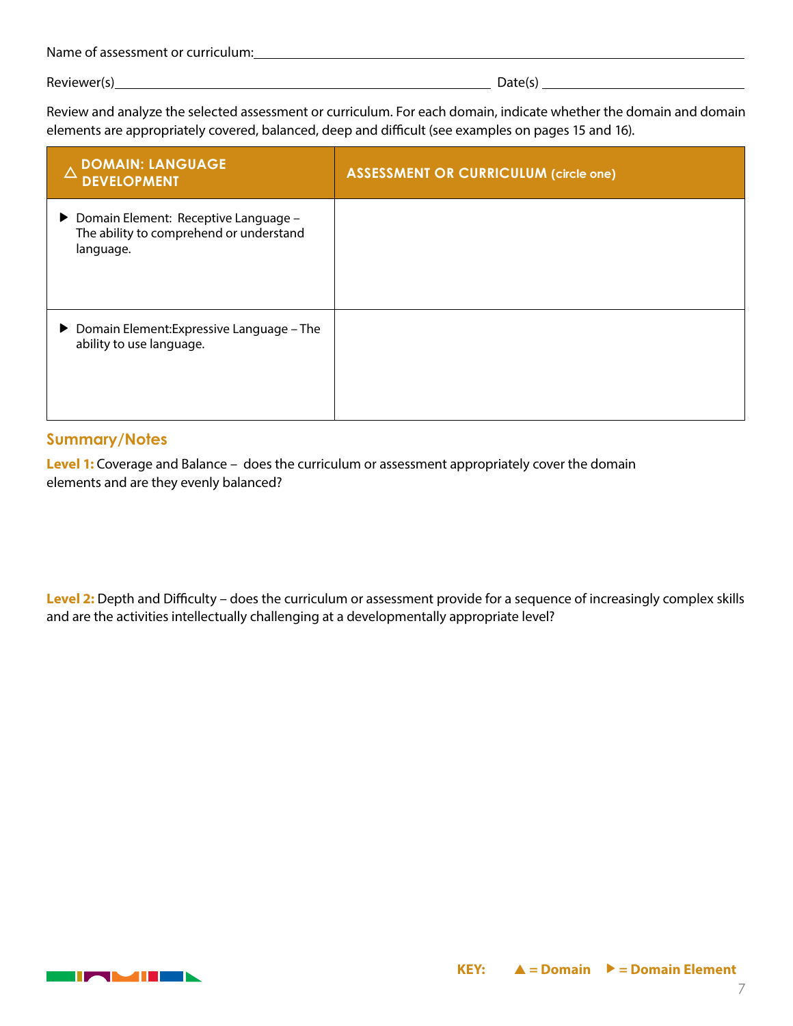| Name of assessment or curriculum: |
|-----------------------------------|
|-----------------------------------|

Review and analyze the selected assessment or curriculum. For each domain, indicate whether the domain and domain elements are appropriately covered, balanced, deep and difficult (see examples on pages 15 and 16).

| <b>DOMAIN: LANGUAGE</b><br>Δ<br><b>DEVELOPMENT</b>                                             | <b>ASSESSMENT OR CURRICULUM (circle one)</b> |
|------------------------------------------------------------------------------------------------|----------------------------------------------|
| ▶ Domain Element: Receptive Language -<br>The ability to comprehend or understand<br>language. |                                              |
| ▶ Domain Element: Expressive Language - The<br>ability to use language.                        |                                              |

#### **Summary/Notes**

**Level 1:** Coverage and Balance – does the curriculum or assessment appropriately cover the domain elements and are they evenly balanced?

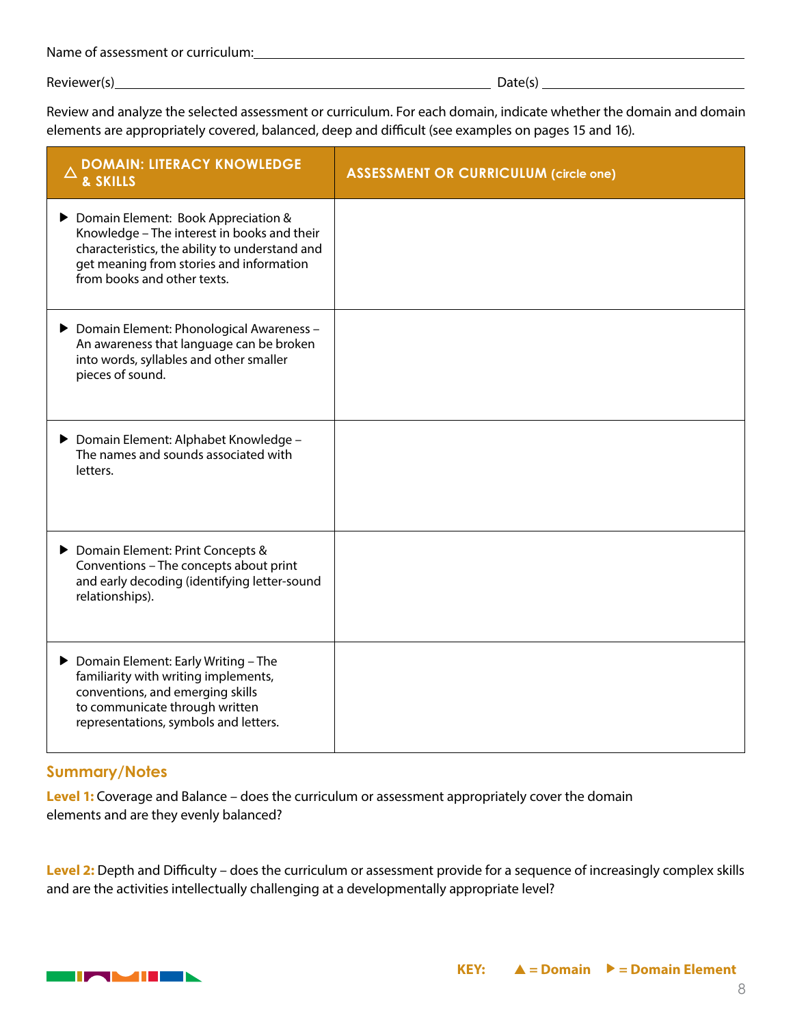| Name of assessment or curriculum: |
|-----------------------------------|
|-----------------------------------|

Review and analyze the selected assessment or curriculum. For each domain, indicate whether the domain and domain elements are appropriately covered, balanced, deep and difficult (see examples on pages 15 and 16).

| <b>DOMAIN: LITERACY KNOWLEDGE</b><br>& SKILLS                                                                                                                                                                   | <b>ASSESSMENT OR CURRICULUM (circle one)</b> |
|-----------------------------------------------------------------------------------------------------------------------------------------------------------------------------------------------------------------|----------------------------------------------|
| Domain Element: Book Appreciation &<br>Knowledge - The interest in books and their<br>characteristics, the ability to understand and<br>get meaning from stories and information<br>from books and other texts. |                                              |
| ▶ Domain Element: Phonological Awareness -<br>An awareness that language can be broken<br>into words, syllables and other smaller<br>pieces of sound.                                                           |                                              |
| ▶ Domain Element: Alphabet Knowledge -<br>The names and sounds associated with<br>letters.                                                                                                                      |                                              |
| ▶ Domain Element: Print Concepts &<br>Conventions - The concepts about print<br>and early decoding (identifying letter-sound<br>relationships).                                                                 |                                              |
| ▶ Domain Element: Early Writing - The<br>familiarity with writing implements,<br>conventions, and emerging skills<br>to communicate through written<br>representations, symbols and letters.                    |                                              |

#### **Summary/Notes**

**Level 1:** Coverage and Balance – does the curriculum or assessment appropriately cover the domain elements and are they evenly balanced?

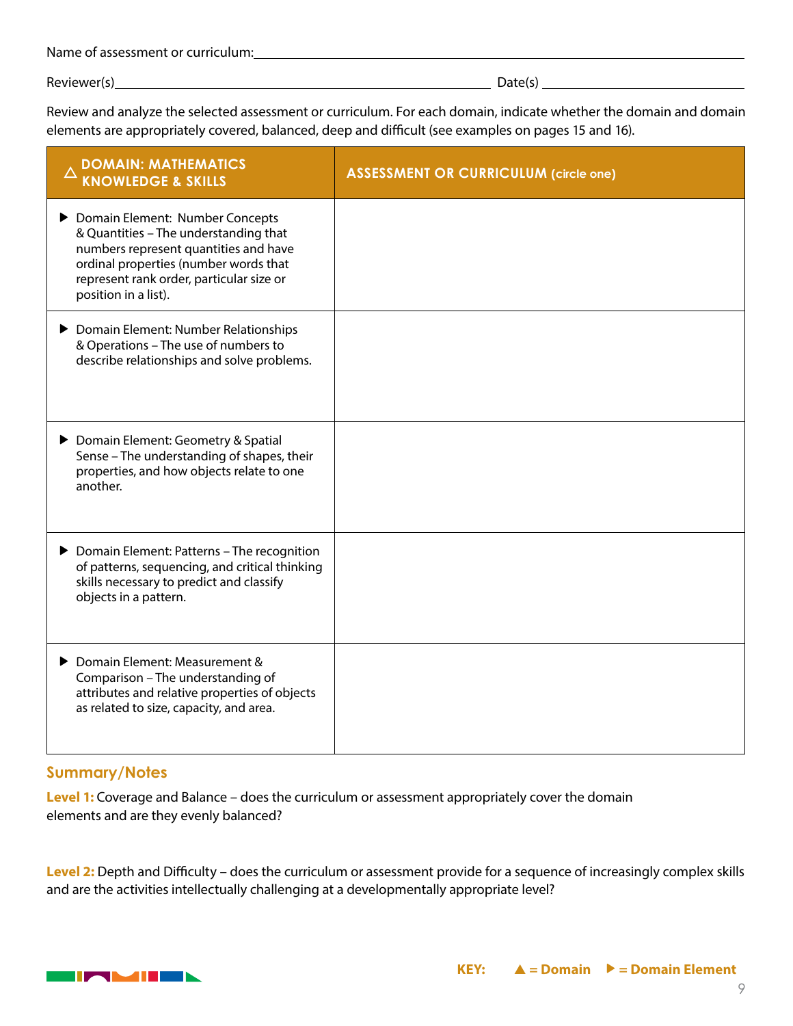| Name of assessment or curriculum: |
|-----------------------------------|
|-----------------------------------|

Review and analyze the selected assessment or curriculum. For each domain, indicate whether the domain and domain elements are appropriately covered, balanced, deep and difficult (see examples on pages 15 and 16).

| <b>DOMAIN: MATHEMATICS</b><br><b>KNOWLEDGE &amp; SKILLS</b>                                                                                                                                                                    | <b>ASSESSMENT OR CURRICULUM (circle one)</b> |
|--------------------------------------------------------------------------------------------------------------------------------------------------------------------------------------------------------------------------------|----------------------------------------------|
| Domain Element: Number Concepts<br>& Quantities - The understanding that<br>numbers represent quantities and have<br>ordinal properties (number words that<br>represent rank order, particular size or<br>position in a list). |                                              |
| Domain Element: Number Relationships<br>& Operations - The use of numbers to<br>describe relationships and solve problems.                                                                                                     |                                              |
| ▶ Domain Element: Geometry & Spatial<br>Sense - The understanding of shapes, their<br>properties, and how objects relate to one<br>another.                                                                                    |                                              |
| ▶ Domain Element: Patterns - The recognition<br>of patterns, sequencing, and critical thinking<br>skills necessary to predict and classify<br>objects in a pattern.                                                            |                                              |
| ▶ Domain Element: Measurement &<br>Comparison - The understanding of<br>attributes and relative properties of objects<br>as related to size, capacity, and area.                                                               |                                              |

#### **Summary/Notes**

**Level 1:** Coverage and Balance – does the curriculum or assessment appropriately cover the domain elements and are they evenly balanced?

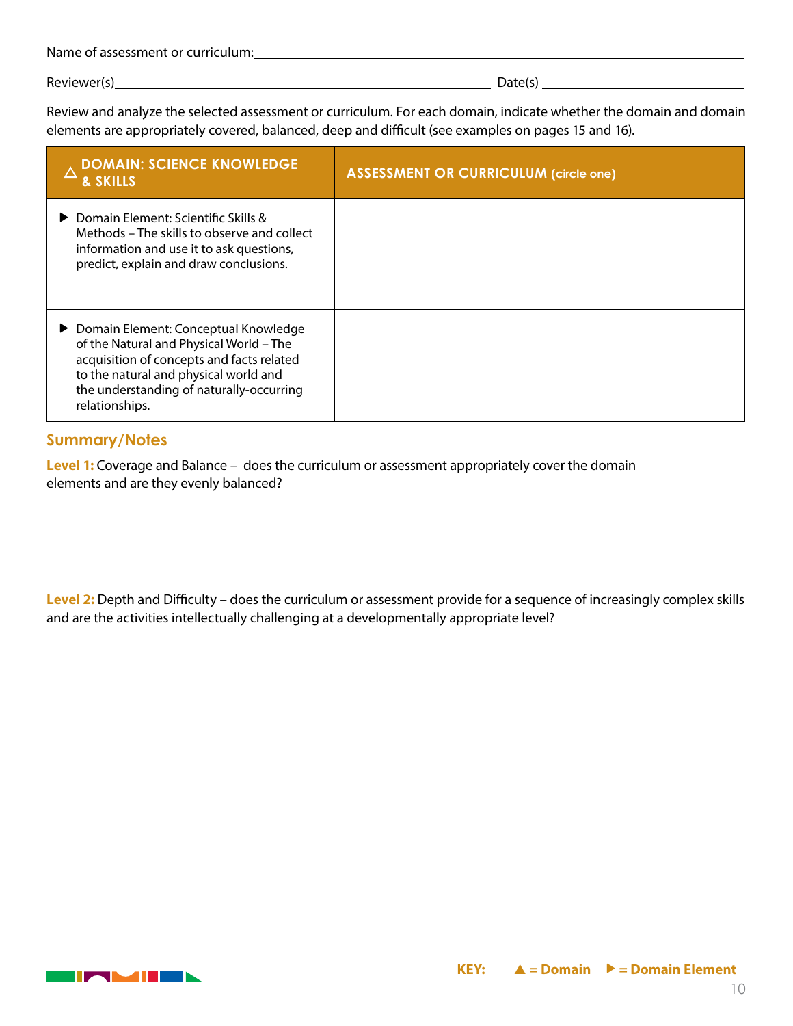| Name of assessment or curriculum: |
|-----------------------------------|
|-----------------------------------|

Review and analyze the selected assessment or curriculum. For each domain, indicate whether the domain and domain elements are appropriately covered, balanced, deep and difficult (see examples on pages 15 and 16).

| <b>DOMAIN: SCIENCE KNOWLEDGE</b><br><b>&amp; SKILLS</b>                                                                                                                                                                               | <b>ASSESSMENT OR CURRICULUM (circle one)</b> |
|---------------------------------------------------------------------------------------------------------------------------------------------------------------------------------------------------------------------------------------|----------------------------------------------|
| ▶ Domain Element: Scientific Skills &<br>Methods – The skills to observe and collect<br>information and use it to ask questions,<br>predict, explain and draw conclusions.                                                            |                                              |
| ▶ Domain Element: Conceptual Knowledge<br>of the Natural and Physical World - The<br>acquisition of concepts and facts related<br>to the natural and physical world and<br>the understanding of naturally-occurring<br>relationships. |                                              |

#### **Summary/Notes**

**Level 1:** Coverage and Balance – does the curriculum or assessment appropriately cover the domain elements and are they evenly balanced?

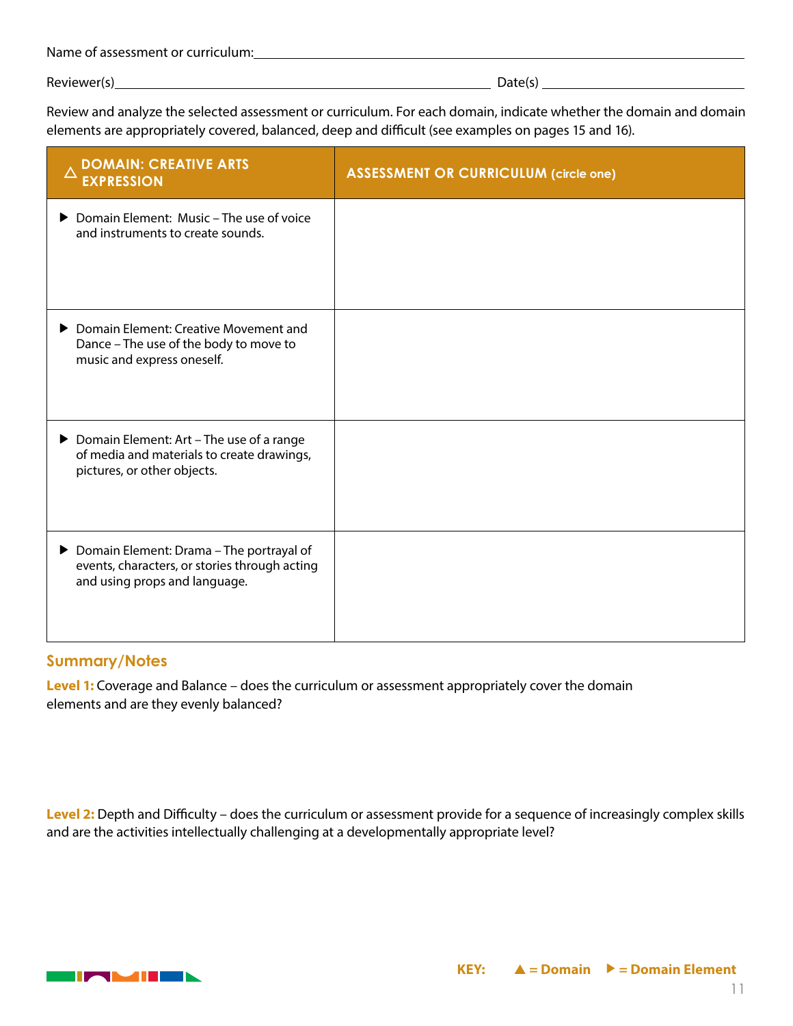| Name of assessment or curriculum: |  |
|-----------------------------------|--|
|                                   |  |

Reviewer(s) Date(s) Date(s) Date(s) Date(s)

Review and analyze the selected assessment or curriculum. For each domain, indicate whether the domain and domain elements are appropriately covered, balanced, deep and difficult (see examples on pages 15 and 16).

| <b>DOMAIN: CREATIVE ARTS</b><br><b>EXPRESSION</b>                                                                            | <b>ASSESSMENT OR CURRICULUM (circle one)</b> |
|------------------------------------------------------------------------------------------------------------------------------|----------------------------------------------|
| ▶ Domain Element: Music – The use of voice<br>and instruments to create sounds.                                              |                                              |
| ▶ Domain Element: Creative Movement and<br>Dance - The use of the body to move to<br>music and express oneself.              |                                              |
| ▶ Domain Element: Art - The use of a range<br>of media and materials to create drawings,<br>pictures, or other objects.      |                                              |
| ▶ Domain Element: Drama - The portrayal of<br>events, characters, or stories through acting<br>and using props and language. |                                              |

#### **Summary/Notes**

**Level 1:** Coverage and Balance – does the curriculum or assessment appropriately cover the domain elements and are they evenly balanced?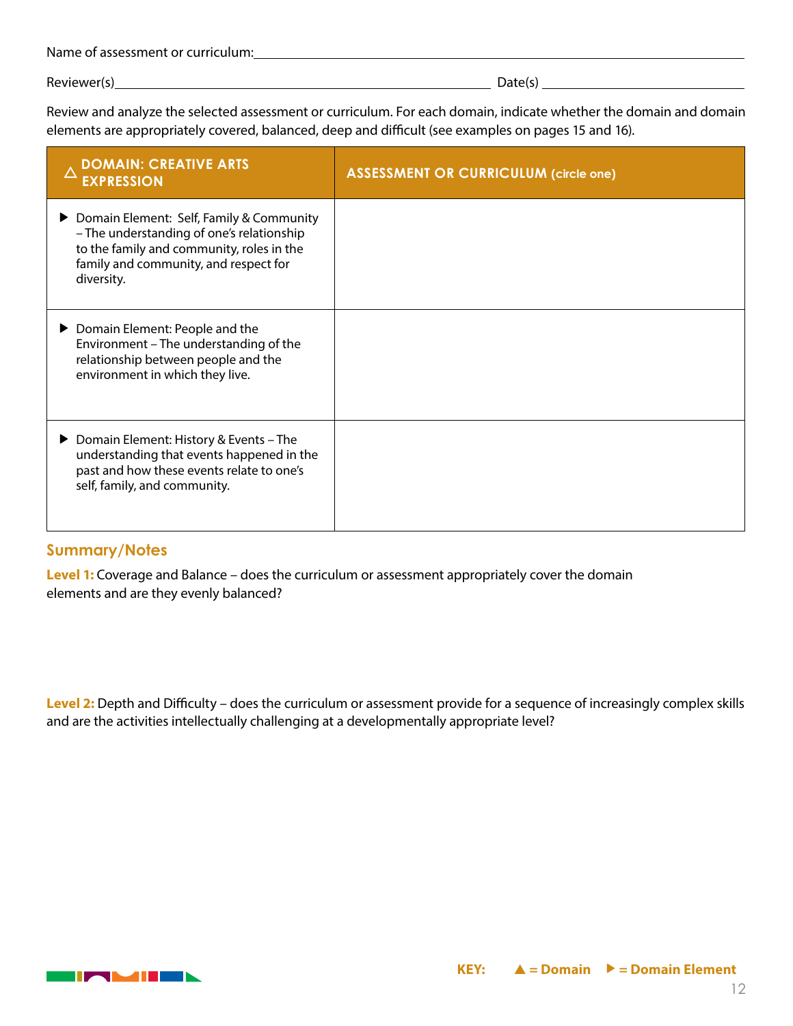| Name of assessment or curriculum: |
|-----------------------------------|
|-----------------------------------|

Review and analyze the selected assessment or curriculum. For each domain, indicate whether the domain and domain elements are appropriately covered, balanced, deep and difficult (see examples on pages 15 and 16).

| <b>DOMAIN: CREATIVE ARTS</b><br><b>EXPRESSION</b>                                                                                                                                           | <b>ASSESSMENT OR CURRICULUM (circle one)</b> |
|---------------------------------------------------------------------------------------------------------------------------------------------------------------------------------------------|----------------------------------------------|
| ▶ Domain Element: Self, Family & Community<br>- The understanding of one's relationship<br>to the family and community, roles in the<br>family and community, and respect for<br>diversity. |                                              |
| ▶ Domain Element: People and the<br>Environment - The understanding of the<br>relationship between people and the<br>environment in which they live.                                        |                                              |
| ▶ Domain Element: History & Events – The<br>understanding that events happened in the<br>past and how these events relate to one's<br>self, family, and community.                          |                                              |

#### **Summary/Notes**

**Level 1:** Coverage and Balance – does the curriculum or assessment appropriately cover the domain elements and are they evenly balanced?

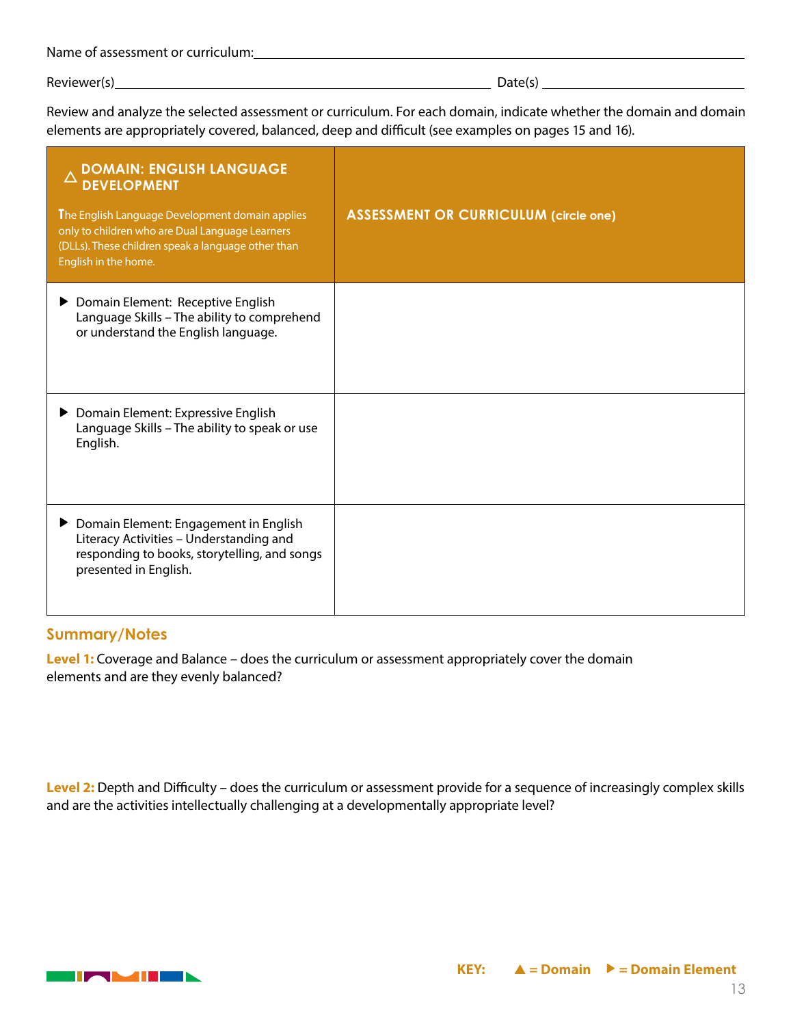| Name of assessment or curriculum: |
|-----------------------------------|
|-----------------------------------|

Review and analyze the selected assessment or curriculum. For each domain, indicate whether the domain and domain elements are appropriately covered, balanced, deep and difficult (see examples on pages 15 and 16).

| <b>DOMAIN: ENGLISH LANGUAGE</b><br><b>DEVELOPMENT</b><br>The English Language Development domain applies<br>only to children who are Dual Language Learners<br>(DLLs). These children speak a language other than<br>English in the home. | <b>ASSESSMENT OR CURRICULUM (circle one)</b> |
|-------------------------------------------------------------------------------------------------------------------------------------------------------------------------------------------------------------------------------------------|----------------------------------------------|
| Domain Element: Receptive English<br>Language Skills - The ability to comprehend<br>or understand the English language.                                                                                                                   |                                              |
| ▶ Domain Element: Expressive English<br>Language Skills - The ability to speak or use<br>English.                                                                                                                                         |                                              |
| ▶ Domain Element: Engagement in English<br>Literacy Activities - Understanding and<br>responding to books, storytelling, and songs<br>presented in English.                                                                               |                                              |

#### **Summary/Notes**

**Level 1:** Coverage and Balance – does the curriculum or assessment appropriately cover the domain elements and are they evenly balanced?

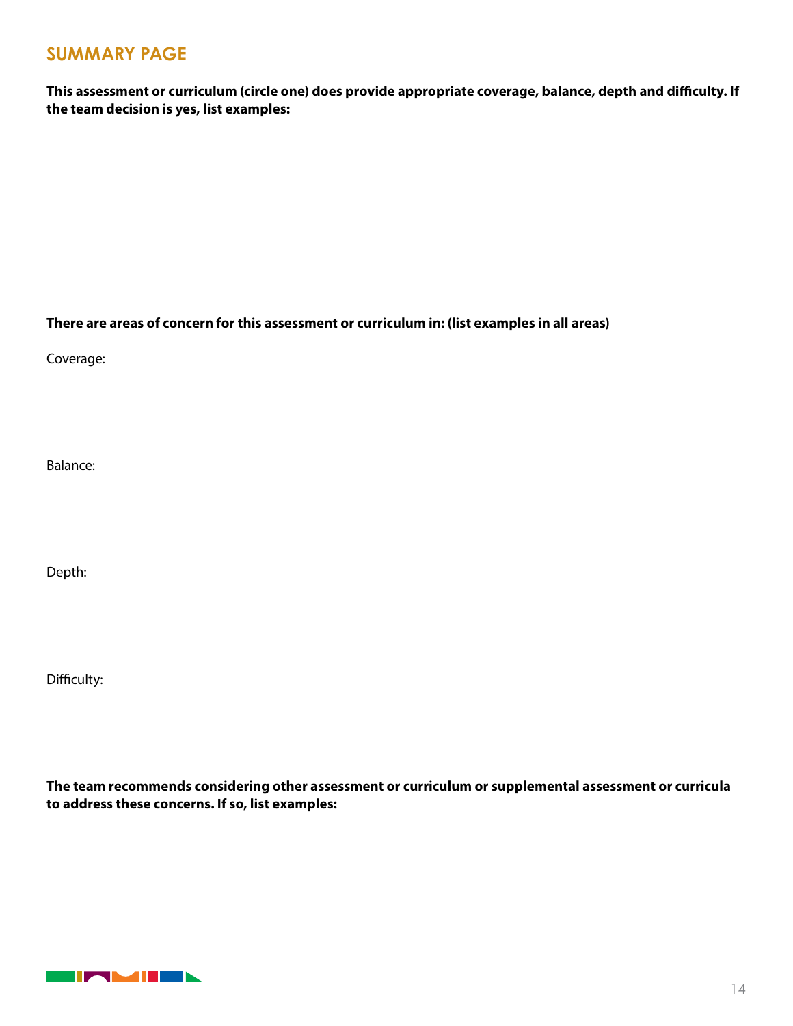### **SUMMARY PAGE**

**This assessment or curriculum (circle one) does provide appropriate coverage, balance, depth and difficulty. If the team decision is yes, list examples:**

**There are areas of concern for this assessment or curriculum in: (list examples in all areas)**

Coverage:

Balance:

Depth:

Difficulty:

**The team recommends considering other assessment or curriculum or supplemental assessment or curricula to address these concerns. If so, list examples:**

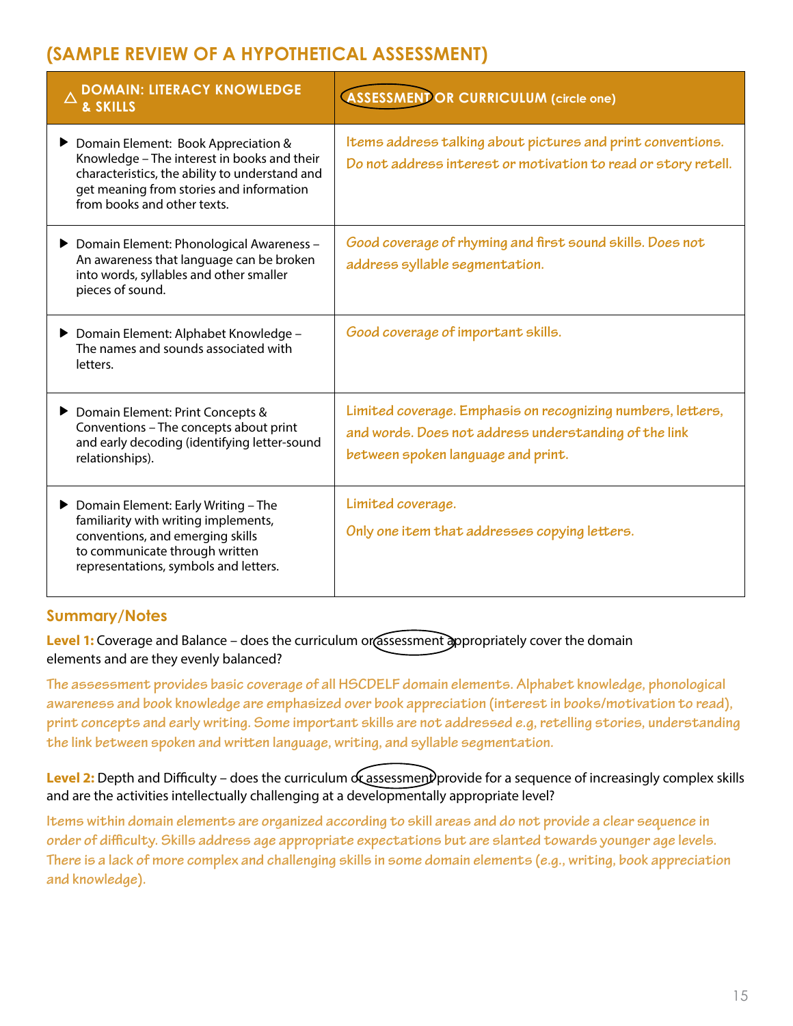# **(SAMPLE REVIEW OF A HYPOTHETICAL ASSESSMENT)**

| <b>DOMAIN: LITERACY KNOWLEDGE</b><br>& SKILLS                                                                                                                                                                   | <b>ASSESSMENTOR CURRICULUM (circle one)</b>                                                                                                                |
|-----------------------------------------------------------------------------------------------------------------------------------------------------------------------------------------------------------------|------------------------------------------------------------------------------------------------------------------------------------------------------------|
| Domain Element: Book Appreciation &<br>Knowledge - The interest in books and their<br>characteristics, the ability to understand and<br>get meaning from stories and information<br>from books and other texts. | Items address talking about pictures and print conventions.<br>Do not address interest or motivation to read or story retell.                              |
| Domain Element: Phonological Awareness -<br>An awareness that language can be broken<br>into words, syllables and other smaller<br>pieces of sound.                                                             | Good coverage of rhyming and first sound skills. Does not<br>address syllable segmentation.                                                                |
| ▶ Domain Element: Alphabet Knowledge -<br>The names and sounds associated with<br>letters.                                                                                                                      | Good coverage of important skills.                                                                                                                         |
| ▶ Domain Element: Print Concepts &<br>Conventions - The concepts about print<br>and early decoding (identifying letter-sound<br>relationships).                                                                 | Limited coverage. Emphasis on recognizing numbers, letters,<br>and words. Does not address understanding of the link<br>between spoken language and print. |
| ▶ Domain Element: Early Writing - The<br>familiarity with writing implements,<br>conventions, and emerging skills<br>to communicate through written<br>representations, symbols and letters.                    | Limited coverage.<br>Only one item that addresses copying letters.                                                                                         |

### **Summary/Notes**

**Level 1:** Coverage and Balance – does the curriculum or assessment appropriately cover the domain elements and are they evenly balanced?

**The assessment provides basic coverage of all HSCDELF domain elements. Alphabet knowledge, phonological awareness and book knowledge are emphasized over book appreciation (interest in books/motivation to read), print concepts and early writing. Some important skills are not addressed e.g, retelling stories, understanding the link between spoken and written language, writing, and syllable segmentation.** 

**Level 2:** Depth and Difficulty – does the curriculum or assessment provide for a sequence of increasingly complex skills and are the activities intellectually challenging at a developmentally appropriate level?

**Items within domain elements are organized according to skill areas and do not provide a clear sequence in order of difficulty. Skills address age appropriate expectations but are slanted towards younger age levels. There is a lack of more complex and challenging skills in some domain elements (e.g., writing, book appreciation and knowledge).**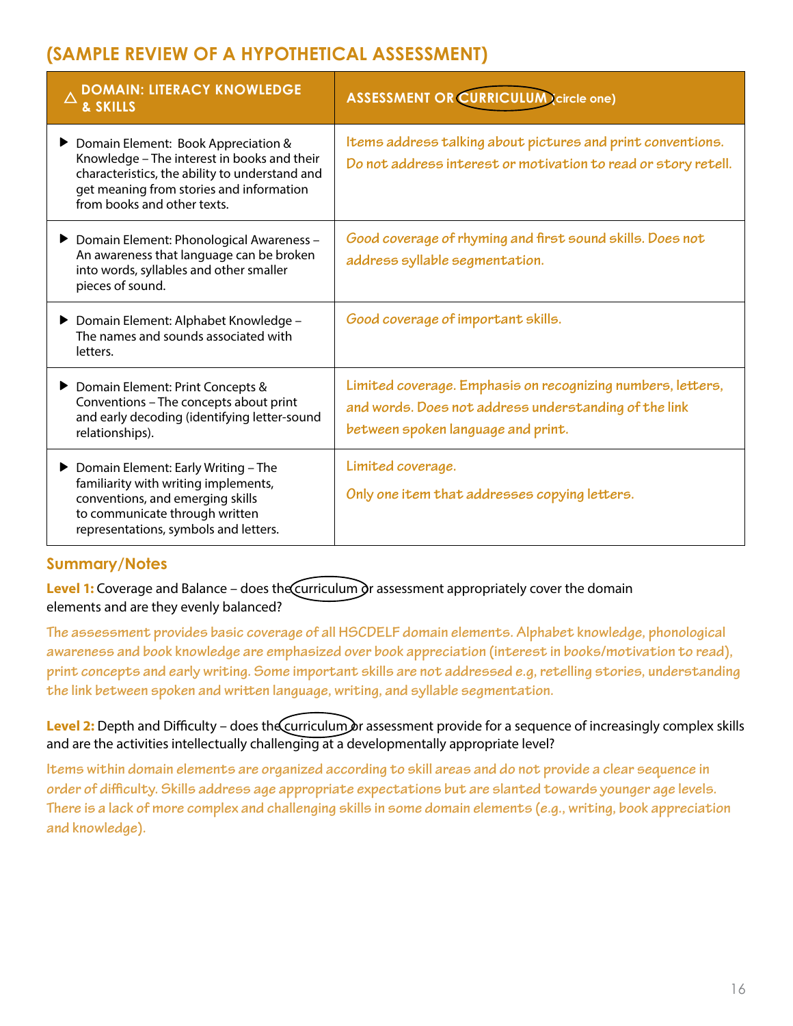# **(SAMPLE REVIEW OF A HYPOTHETICAL ASSESSMENT)**

| <b>DOMAIN: LITERACY KNOWLEDGE</b><br>& SKILLS                                                                                                                                                                   | <b>ASSESSMENT OR CURRICULUM (circle one)</b>                                                                                                               |
|-----------------------------------------------------------------------------------------------------------------------------------------------------------------------------------------------------------------|------------------------------------------------------------------------------------------------------------------------------------------------------------|
| Domain Element: Book Appreciation &<br>Knowledge - The interest in books and their<br>characteristics, the ability to understand and<br>get meaning from stories and information<br>from books and other texts. | Items address talking about pictures and print conventions.<br>Do not address interest or motivation to read or story retell.                              |
| ▶ Domain Element: Phonological Awareness -<br>An awareness that language can be broken<br>into words, syllables and other smaller<br>pieces of sound.                                                           | Good coverage of rhyming and first sound skills. Does not<br>address syllable segmentation.                                                                |
| ▶ Domain Element: Alphabet Knowledge -<br>The names and sounds associated with<br>letters.                                                                                                                      | Good coverage of important skills.                                                                                                                         |
| ▶ Domain Element: Print Concepts &<br>Conventions - The concepts about print<br>and early decoding (identifying letter-sound<br>relationships).                                                                 | Limited coverage. Emphasis on recognizing numbers, letters,<br>and words. Does not address understanding of the link<br>between spoken language and print. |
| $\triangleright$ Domain Element: Early Writing - The<br>familiarity with writing implements,<br>conventions, and emerging skills<br>to communicate through written<br>representations, symbols and letters.     | Limited coverage.<br>Only one item that addresses copying letters.                                                                                         |

### **Summary/Notes**

**Level 1:** Coverage and Balance – does the Curriculum or assessment appropriately cover the domain elements and are they evenly balanced?

**The assessment provides basic coverage of all HSCDELF domain elements. Alphabet knowledge, phonological awareness and book knowledge are emphasized over book appreciation (interest in books/motivation to read), print concepts and early writing. Some important skills are not addressed e.g, retelling stories, understanding the link between spoken and written language, writing, and syllable segmentation.** 

Level 2: Depth and Difficulty – does the curriculum or assessment provide for a sequence of increasingly complex skills and are the activities intellectually challenging at a developmentally appropriate level?

**Items within domain elements are organized according to skill areas and do not provide a clear sequence in order of difficulty. Skills address age appropriate expectations but are slanted towards younger age levels. There is a lack of more complex and challenging skills in some domain elements (e.g., writing, book appreciation and knowledge).**